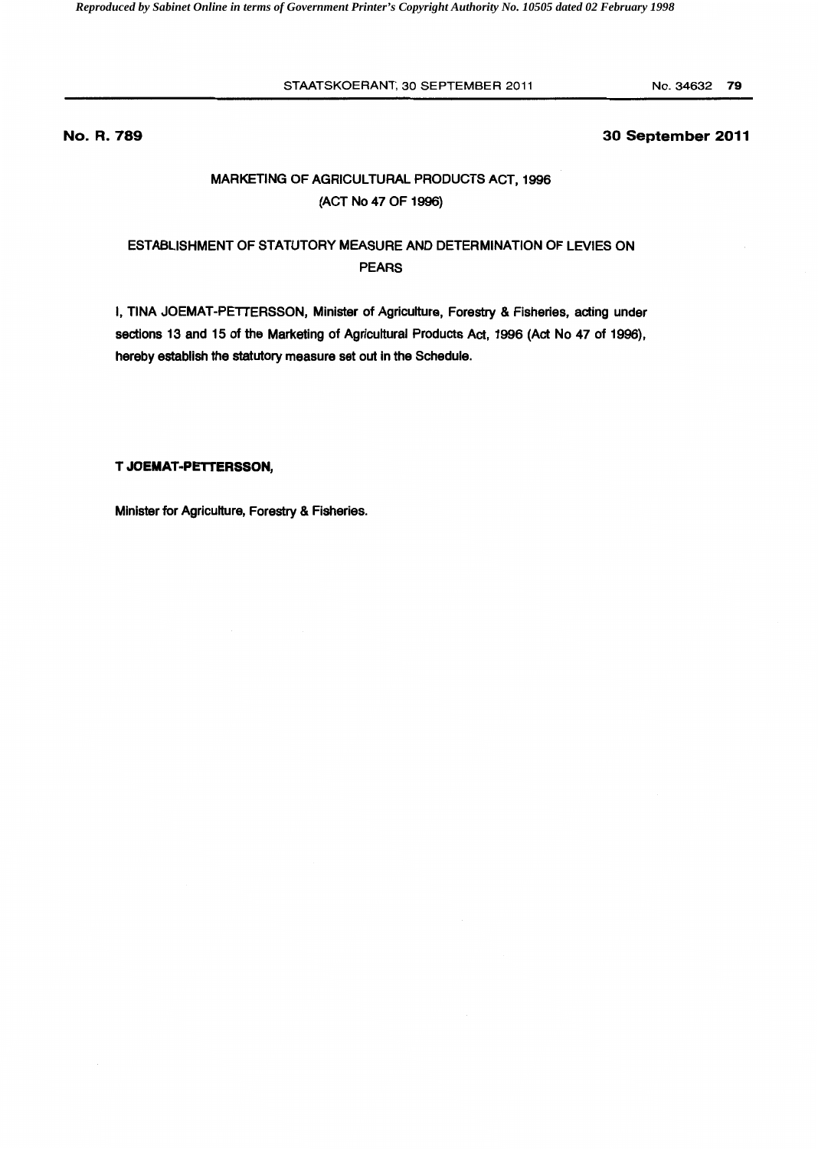STAATSKOERANT, 30 SEPTEMBER 2011 No. 34632 79

# **No. R. 789 30 September 2011**

# MARKETING OF AGRICULTURAL PRODUCTS ACT, 1996 (ACT No 47 OF 1996)

# ESTABLISHMENT OF STATUTORY MEASURE AND DETERMINATION OF LEVIES ON PEARS

I, TINA JOEMAT-PETTERSSON, Minister of Agriculture, Forestry & Fisheries, acting under sections 13 and 15 of the Marketing of Agricultural Products Act, 1996 (Act No 47 of 1996), hereby establish the statutory measure set out in the Schedule.

# **T JOEMAT-PETTERSSON,**

Minister for Agriculture, Forestry & Fisheries.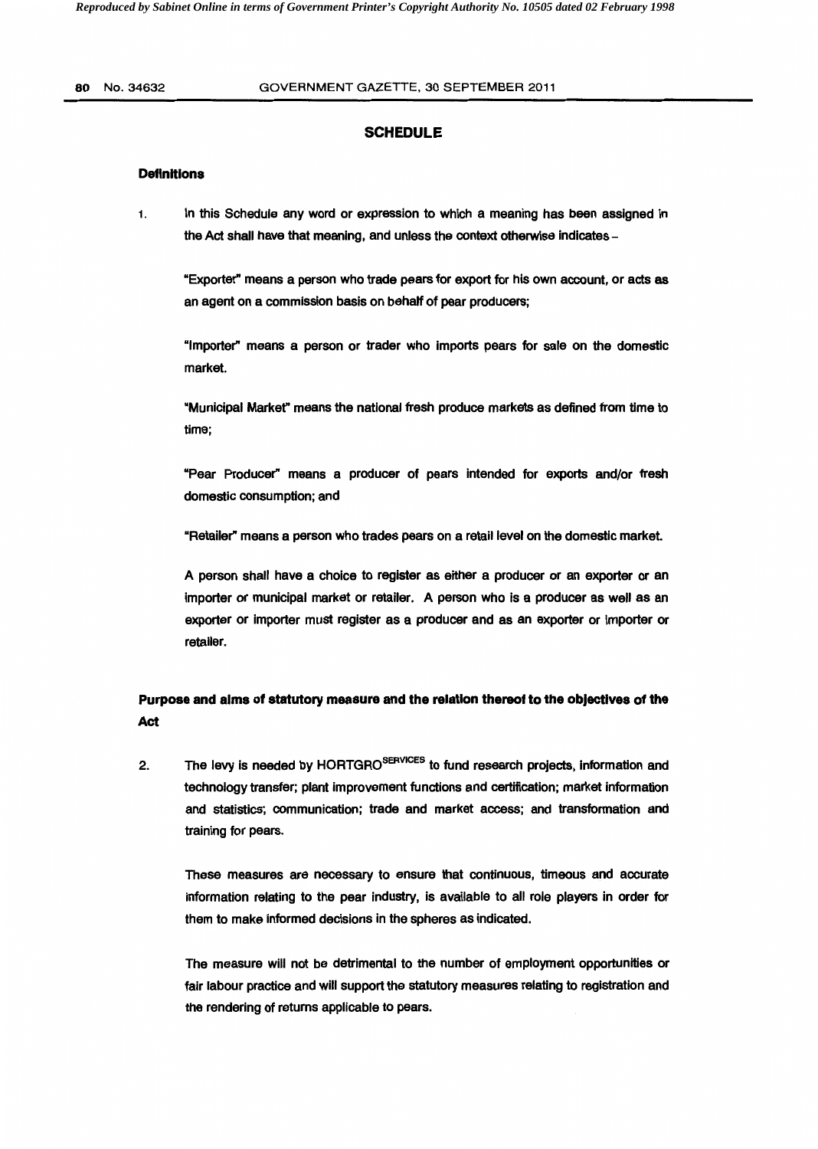# **SCHEDULE**

## **Definitions**

1. In this Schedule any word or expression to which a meaning has been assigned in the Act shall have that meaning, and unless the context otherwise indicates -

"Exporter" means a person who trade pears for export for his own account, or acts as an agent on a commission basis on behalf of pear producers;

"Importer" means a person or trader who imports pears for sale on the domestic market.

"Municipal Markef' means the national fresh produce markets as defined from time to time;

"Pear Producer" means a producer of pears intended for exports and/or fresh domestic consumption; and

"Retailer" means a person who trades pears on a retail level on the domestic market.

A person shall have a choice to register as either a producer or an exporter or an importer or municipal market or retailer. A person who is a producer as well as an exporter or importer must register as a producer and as an exporter or importer or retailer.

# **Purpose and alms of statutory measure and the relation thereof to the objectives of the Act**

2. The levy is needed by HORTGRO<sup>SERVICES</sup> to fund research projects, information and technology transfer; plant improvement functions and certification; market information and statistics; communication; trade and market access; and transformation and training for pears.

These measures are necessary to ensure that continuous, timeous and accurate information relating to the pear industry, is available to all role players in order for them to make informed decisions in the spheres as indicated.

The measure will not be detrimental to the number of employment opportunities or fair labour practice and will support the statutory measures relating to registration and the rendering of returns applicable to pears.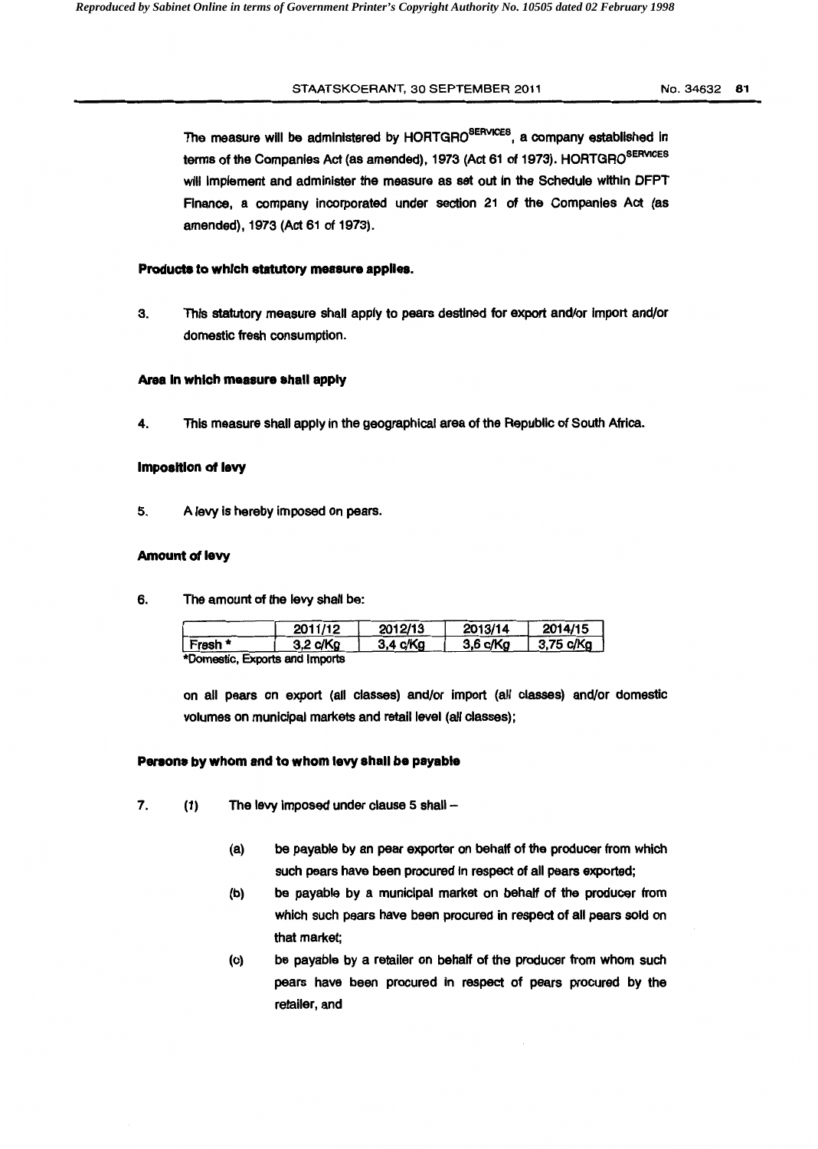#### STAATSKOERANT, 30 SEPTEMBER 2011 No. 34632 81

The measure will be administered by HORTGRO<sup>SERVICES</sup>, a company established in terms of the Companies Act (as amended), 1973 (Act 61 of 1973). HORTGRO<sup>SERVICES</sup> will implement and administer the measure as set out in the Schedule within DFPT Finance, a company incorporated under section 21 of the Companies Act (as amended), 1973 (Act 61 of 1973).

#### **Products to which statutory measure applies.**

3. This statutory measure shall apply to pears destined for export and/or import and/or domestic fresh consumption.

#### **Area In which measure shall apply**

4. This measure shall apply in the geographical area of the Republic of South Africa.

### **Imposition of levy**

5. A levy is hereby imposed on pears.

#### **Amount of levy**

6. The amount of the levy shall be:

|                                | 2011/12            | 2012/13             | 2013/14    | 2014/15              |
|--------------------------------|--------------------|---------------------|------------|----------------------|
| ∣ Fresh *                      | $3,2 \text{ c/Kg}$ | $3.4 \text{ c/K}$ a | $3,6$ c/Kg | $ 3,75 \text{ c/Kg}$ |
| *Domestic. Exports and Imports |                    |                     |            |                      |

on all pears on export (all classes) and/or import (all classes) and/or domestic volumes on municipal markets and retail level (all classes);

## **Pereons by whom and to whom levy shall be payable**

- 7.  $(1)$  The levy imposed under clause 5 shall  $-$ 
	- (a) be payable by an pear exporter on behalf of the producer from which such pears have been procured in respect of all pears exported;
	- (b) be payable by a municipal market on behalf of the producer from which such pears have been procured in respect of all pears sold on that market;
	- (c) be payable by a retailer on behalf of the producer from whom such pears have been procured in respect of pears procured by the retailer, and